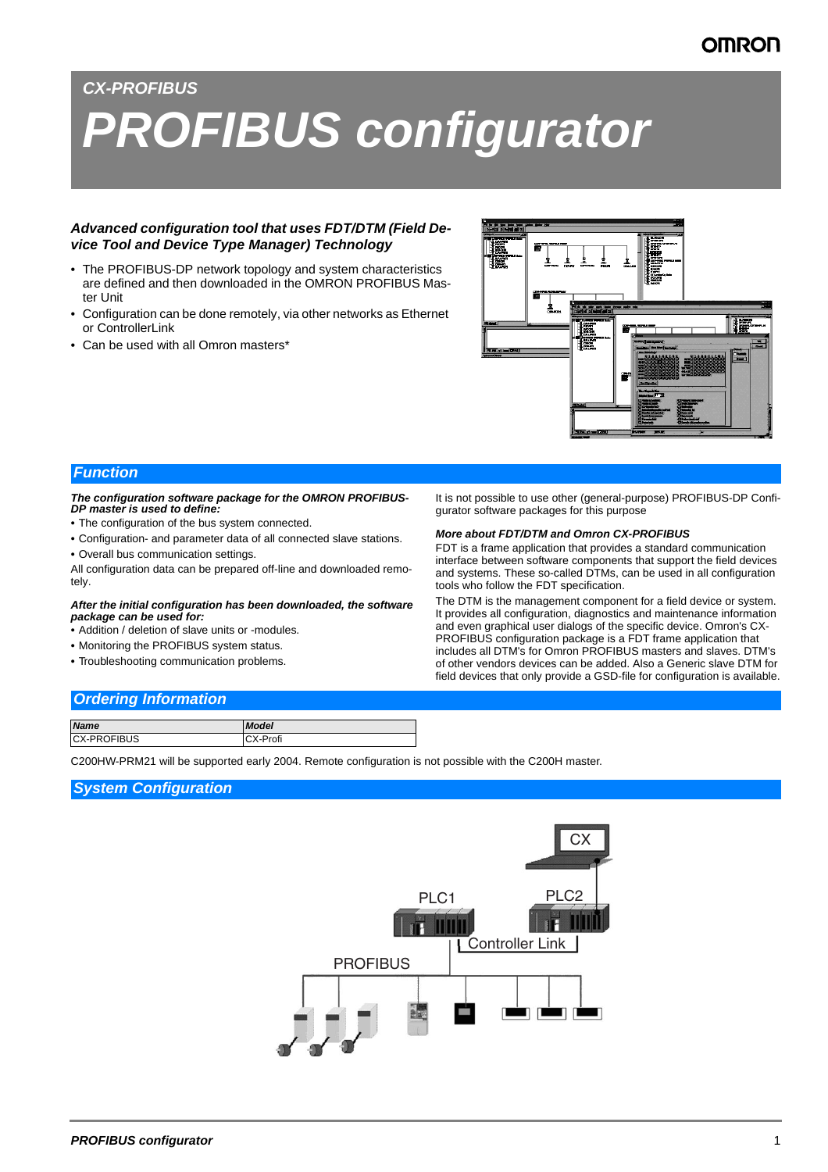# *CX-PROFIBUS PROFIBUS configurator*

## *Advanced configuration tool that uses FDT/DTM (Field Device Tool and Device Type Manager) Technology*

- The PROFIBUS-DP network topology and system characteristics are defined and then downloaded in the OMRON PROFIBUS Master Unit
- Configuration can be done remotely, via other networks as Ethernet or ControllerLink
- Can be used with all Omron masters\*



## *Function*

#### *The configuration software package for the OMRON PROFIBUS-DP master is used to define:*

- *•* The configuration of the bus system connected.
- *•* Configuration- and parameter data of all connected slave stations.
- *•* Overall bus communication settings.

All configuration data can be prepared off-line and downloaded remotely.

#### *After the initial configuration has been downloaded, the software package can be used for:*

- *•* Addition / deletion of slave units or -modules.
- *•* Monitoring the PROFIBUS system status.
- *•* Troubleshooting communication problems.

It is not possible to use other (general-purpose) PROFIBUS-DP Configurator software packages for this purpose

#### *More about FDT/DTM and Omron CX-PROFIBUS*

FDT is a frame application that provides a standard communication interface between software components that support the field devices and systems. These so-called DTMs, can be used in all configuration tools who follow the FDT specification.

The DTM is the management component for a field device or system. It provides all configuration, diagnostics and maintenance information and even graphical user dialogs of the specific device. Omron's CX-PROFIBUS configuration package is a FDT frame application that includes all DTM's for Omron PROFIBUS masters and slaves. DTM's of other vendors devices can be added. Also a Generic slave DTM for field devices that only provide a GSD-file for configuration is available.

## *Ordering Information*

| <b>Name</b>        | <b>Model</b> |
|--------------------|--------------|
| <b>CX-PROFIBUS</b> | CX-Profi     |

C200HW-PRM21 will be supported early 2004. Remote configuration is not possible with the C200H master.

## *System Configuration*